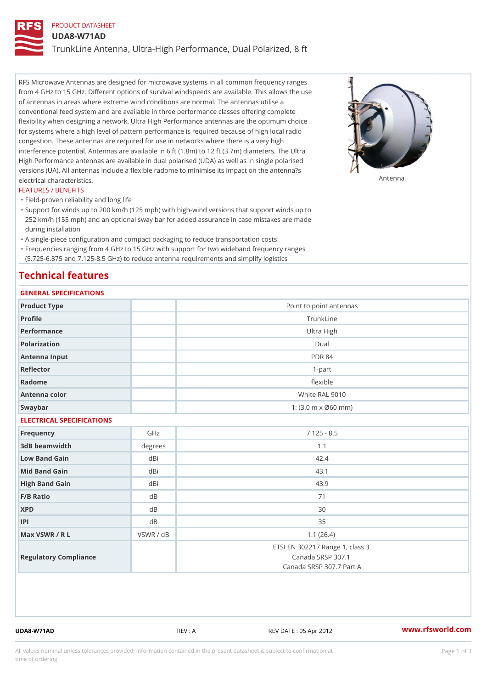# PRODUCT DATASHEET

UDA8-W71AD

TrunkLine Antenna, Ultra-High Performance, Dual Polarized, 8 ft

RFS Microwave Antennas are designed for microwave systems in all common frequency ranges from 4 GHz to 15 GHz. Different options of survival windspeeds are available. This allows the use of antennas in areas where extreme wind conditions are normal. The antennas utilise a conventional feed system and are available in three performance classes offering complete flexibility when designing a network. Ultra High Performance antennas are the optimum choice for systems where a high level of pattern performance is required because of high local radio congestion. These antennas are required for use in networks where there is a very high interference potential. Antennas are available in 6 ft (1.8m) to 12 ft (3.7m) diameters. The Ultra High Performance antennas are available in dual polarised (UDA) as well as in single polarised versions (UA). All antennas include a flexible radome to minimise its impact on the antenna?s electrical characteristics. Antenna

#### FEATURES / BENEFITS

"Field-proven reliability and long life

- Support for winds up to 200 km/h (125 mph) with high-wind versions that support winds up to " 252 km/h (155 mph) and an optional sway bar for added assurance in case mistakes are made during installation
- "A single-piece configuration and compact packaging to reduce transportation costs
- Frequencies ranging from 4 GHz to 15 GHz with support for two wideband frequency ranges "
- (5.725-6.875 and 7.125-8.5 GHz) to reduce antenna requirements and simplify logistics

## Technical features

## GENERAL SPECIFICATIONS

| GENERAL SELGIFICATIONS    |                                                         |                                                                                  |  |  |
|---------------------------|---------------------------------------------------------|----------------------------------------------------------------------------------|--|--|
| Product Type              |                                                         | Point to point antennas                                                          |  |  |
| Profile                   | TrunkLine                                               |                                                                                  |  |  |
| Performance               | Ultra High                                              |                                                                                  |  |  |
| Polarization              | $D$ ual                                                 |                                                                                  |  |  |
| Antenna Input             | <b>PDR 84</b>                                           |                                                                                  |  |  |
| Reflector                 | $1 - p$ art                                             |                                                                                  |  |  |
| Radome                    | flexible                                                |                                                                                  |  |  |
| Antenna color             | White RAL 9010                                          |                                                                                  |  |  |
| Swaybar                   | 1: $(3.0 \, \text{m} \times \emptyset 60 \, \text{mm})$ |                                                                                  |  |  |
| ELECTRICAL SPECIFICATIONS |                                                         |                                                                                  |  |  |
| Frequency                 | GHz                                                     | $7.125 - 8.5$                                                                    |  |  |
| 3dB beamwidth             | degrees                                                 | 1.1                                                                              |  |  |
| Low Band Gain             | dBi                                                     | 42.4                                                                             |  |  |
| Mid Band Gain             | dBi                                                     | 43.1                                                                             |  |  |
| High Band Gain            | dBi                                                     | 43.9                                                                             |  |  |
| F/B Ratio                 | d B                                                     | 71                                                                               |  |  |
| <b>XPD</b>                | d <sub>B</sub>                                          | 30                                                                               |  |  |
| P                         | d B                                                     | 35                                                                               |  |  |
| Max VSWR / R L            | VSWR / dB                                               | 1.1(26.4)                                                                        |  |  |
| Regulatory Compliance     |                                                         | ETSI EN 302217 Range 1, class 3<br>Canada SRSP 307.1<br>Canada SRSP 307.7 Part A |  |  |
|                           |                                                         |                                                                                  |  |  |

UDA8-W71AD REV : A REV DATE : 05 Apr 2012 [www.](https://www.rfsworld.com)rfsworld.com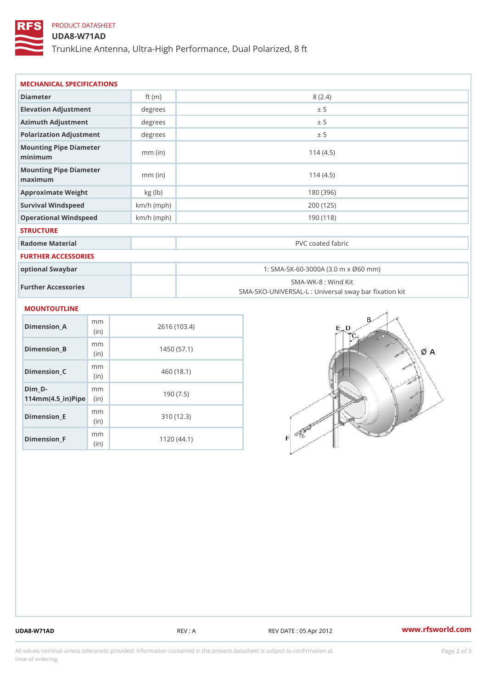## PRODUCT DATASHEET

## UDA8-W71AD

TrunkLine Antenna, Ultra-High Performance, Dual Polarized, 8 ft

| MECHANICAL SPECIFICATIONS                       |              |                                                                          |  |
|-------------------------------------------------|--------------|--------------------------------------------------------------------------|--|
| Diameter                                        | ft $(m)$     | 8(2.4)                                                                   |  |
| Elevation Adjustment                            | degrees      | ± 5                                                                      |  |
| Azimuth Adjustment                              | degrees      | ± 5                                                                      |  |
| Polarization Adjustment                         | degrees      | ± 5                                                                      |  |
| Mounting Pipe Diameter<br>minimum               | $mm$ (in)    | 114(4.5)                                                                 |  |
| Mounting Pipe Diameter<br>maximum               | $mm$ (in)    | 114(4.5)                                                                 |  |
| Approximate Weight                              | kg (lb)      | 180 (396)                                                                |  |
| Survival Windspeed                              | $km/h$ (mph) | 200 (125)                                                                |  |
| Operational Windspeed                           | $km/h$ (mph) | 190(118)                                                                 |  |
| <b>STRUCTURE</b>                                |              |                                                                          |  |
| Radome Material                                 |              | PVC coated fabric                                                        |  |
| <b>FURTHER ACCESSORIES</b>                      |              |                                                                          |  |
| optional Swaybar                                |              | 1: SMA-SK-60-3000A (3.0 m x Ø60 mm)                                      |  |
| Further Accessories                             |              | SMA-WK-8 : Wind Kit<br>SMA-SKO-UNIVERSAL-L : Universal sway bar fixation |  |
| MOUNTOUTLINE                                    |              |                                                                          |  |
| m m<br>Dimension_A<br>(in)                      |              | 2616 (103.4)                                                             |  |
| m m<br>$Dimension_B$<br>(in)                    |              | 1450(57.1)                                                               |  |
| m m<br>$Dimension_C$<br>(in)                    |              | 460 (18.1)                                                               |  |
| $Dim_D - D -$<br>m m<br>$114mm(4.5_{ir})$ $Rip$ |              | 190(7.5)                                                                 |  |
| m m<br><b>Britain and Contract Contract</b>     |              | 0.401400                                                                 |  |

Dimension\_E

Dimension\_F

(in)

m<sub>m</sub> (in)

310 (12.3)

1120 (44.1)

UDA8-W71AD REV : A REV DATE : 05 Apr 2012 [www.](https://www.rfsworld.com)rfsworld.com